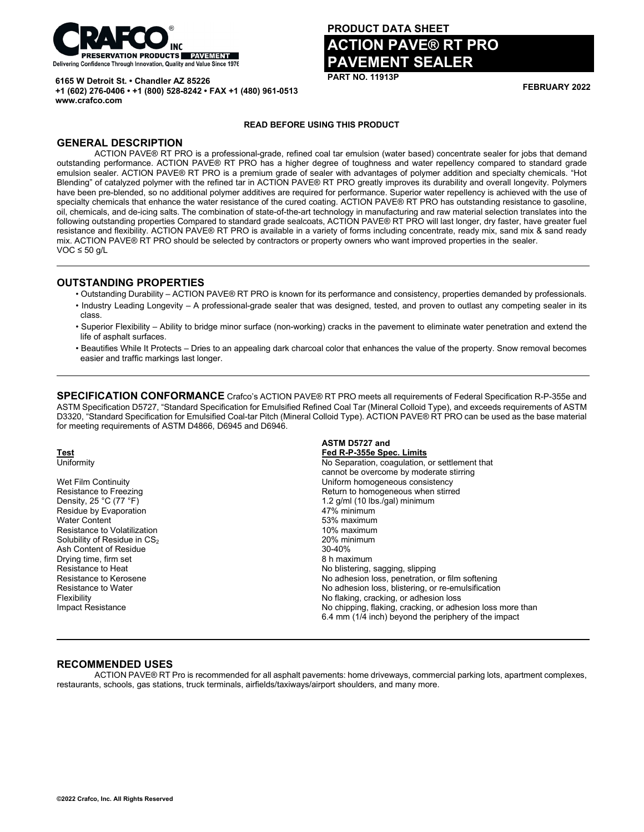

**+1 (602) 276-0406 • +1 (800) 528-8242 • FAX +1 (480) 961-0513**

**6165 W Detroit St. • Chandler AZ 85226**

# **PRODUCT DATA SHEET**

# **ACTION PAVE® RT PRO PAVEMENT SEALER**

**PART NO. 11913P**

**FEBRUARY 2022**

#### **READ BEFORE USING THIS PRODUCT**

# **GENERAL DESCRIPTION**

**www.crafco.com**

ACTION PAVE® RT PRO is a professional-grade, refined coal tar emulsion (water based) concentrate sealer for jobs that demand outstanding performance. ACTION PAVE® RT PRO has a higher degree of toughness and water repellency compared to standard grade emulsion sealer. ACTION PAVE® RT PRO is a premium grade of sealer with advantages of polymer addition and specialty chemicals. "Hot Blending" of catalyzed polymer with the refined tar in ACTION PAVE® RT PRO greatly improves its durability and overall longevity. Polymers have been pre-blended, so no additional polymer additives are required for performance. Superior water repellency is achieved with the use of specialty chemicals that enhance the water resistance of the cured coating. ACTION PAVE® RT PRO has outstanding resistance to gasoline, oil, chemicals, and de-icing salts. The combination of state-of-the-art technology in manufacturing and raw material selection translates into the following outstanding properties Compared to standard grade sealcoats, ACTION PAVE® RT PRO will last longer, dry faster, have greater fuel resistance and flexibility. ACTION PAVE® RT PRO is available in a variety of forms including concentrate, ready mix, sand mix & sand ready mix. ACTION PAVE® RT PRO should be selected by contractors or property owners who want improved properties in the sealer.  $VOC \le 50$  g/L

### **OUTSTANDING PROPERTIES**

- Outstanding Durability ACTION PAVE® RT PRO is known for its performance and consistency, properties demanded by professionals.
- Industry Leading Longevity A professional-grade sealer that was designed, tested, and proven to outlast any competing sealer in its class.
- Superior Flexibility Ability to bridge minor surface (non-working) cracks in the pavement to eliminate water penetration and extend the life of asphalt surfaces.
- Beautifies While It Protects Dries to an appealing dark charcoal color that enhances the value of the property. Snow removal becomes easier and traffic markings last longer.

**SPECIFICATION CONFORMANCE** Crafco's ACTION PAVE® RT PRO meets all requirements of Federal Specification R-P-355e and ASTM Specification D5727, "Standard Specification for Emulsified Refined Coal Tar (Mineral Colloid Type), and exceeds requirements of ASTM D3320, "Standard Specification for Emulsified Coal-tar Pitch (Mineral Colloid Type). ACTION PAVE® RT PRO can be used as the base material for meeting requirements of ASTM D4866, D6945 and D6946.

Residue by Evaporation 47% minimum Water Content<br>
Resistance to Volatilization<br>
Resistance to Volatilization<br>
The Maximum of the Maximum of the Maximum of the Maximum Resistance to Volatilization  $\text{Solubility of Residue in CS}_2 \longrightarrow \text{20\% minimum} \ \text{Ash Content of Residue} \longrightarrow \text{30-40\%}$ Ash Content of Residue 30-40% 30-40% 30-40% 30-40% 30-40% 30-40% 30-40% 30-40% 30-40% 30-40% 30-40% 30-40  $\overline{a}$ Drying time, firm set

# **ASTM D5727 and Test Fed R-P-355e Spec. Limits** No Separation, coagulation, or settlement that cannot be overcome by moderate stirring Wet Film Continuity<br>
Resistance to Freezing<br>
Return to homogeneous when stirre Resistance to Freezing Theorem 2012 Control Return to homogeneous when stirred<br>
Density, 25 °C (77 °F) 2 (77 °F) 2 (77 °F) 2 (78 °C (77 °F) 2 (78 °C (77 °F) 2 (78 °C (77 °F) 2 (78 °C (77 °F) 1.2 g/ml (10 lbs./gal) minimum<br>47% minimum Resistance to Heat **No be absolute that the Contract Contract Contract Contract Contract Contract Contract Contract Contract Contract No adhesion loss penetration<br>No adhesion loss penetration** Resistance to Kerosene **No adhesion loss, penetration, or film softening**<br>Resistance to Water No adhesion loss, blistering, or re-emulsification No adhesion loss, blistering, or re-emulsification Flexibility No flaking, cracking, or adhesion loss No chipping, flaking, cracking, or adhesion loss more than 6.4 mm (1/4 inch) beyond the periphery of the impact

#### **RECOMMENDED USES**

ACTION PAVE® RT Pro is recommended for all asphalt pavements: home driveways, commercial parking lots, apartment complexes, restaurants, schools, gas stations, truck terminals, airfields/taxiways/airport shoulders, and many more.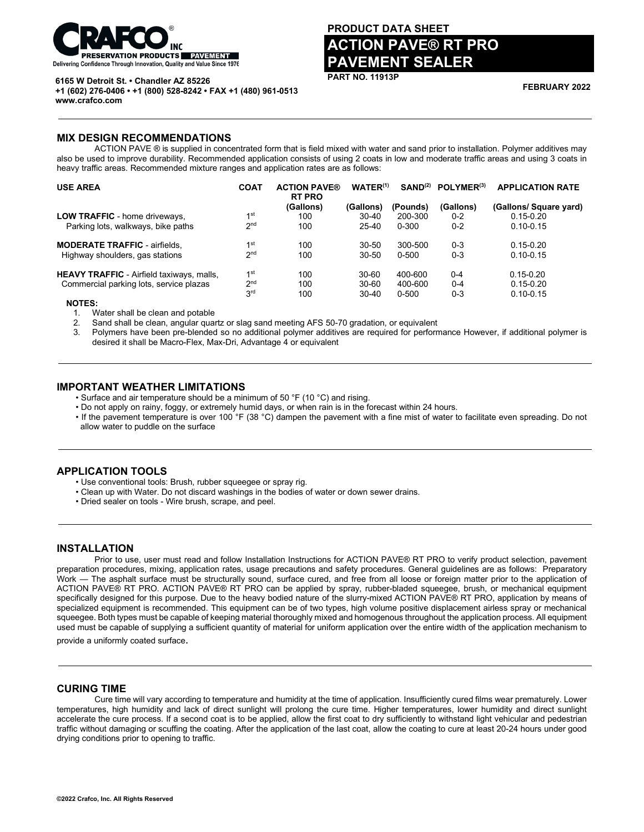

#### **6165 W Detroit St. • Chandler AZ 85226**

**+1 (602) 276-0406 • +1 (800) 528-8242 • FAX +1 (480) 961-0513 www.crafco.com**

# **PRODUCT DATA SHEET**

# **ACTION PAVE® RT PRO PAVEMENT SEALER**

**PART NO. 11913P**

**FEBRUARY 2022**

#### **MIX DESIGN RECOMMENDATIONS**

ACTION PAVE ® is supplied in concentrated form that is field mixed with water and sand prior to installation. Polymer additives may also be used to improve durability. Recommended application consists of using 2 coats in low and moderate traffic areas and using 3 coats in heavy traffic areas. Recommended mixture ranges and application rates are as follows:

| <b>USE AREA</b>                                  | <b>COAT</b>     | <b>ACTION PAVE®</b><br><b>RT PRO</b> | WATER <sup>(1)</sup> | SAND <sup>(2)</sup> | POLYMER <sup>(3)</sup> | <b>APPLICATION RATE</b> |
|--------------------------------------------------|-----------------|--------------------------------------|----------------------|---------------------|------------------------|-------------------------|
|                                                  |                 | (Gallons)                            | (Gallons)            | (Pounds)            | (Gallons)              | (Gallons/ Square yard)  |
| <b>LOW TRAFFIC</b> - home driveways,             | 1 <sup>st</sup> | 100                                  | $30 - 40$            | 200-300             | $0 - 2$                | $0.15 - 0.20$           |
| Parking lots, walkways, bike paths               | 2 <sub>nd</sub> | 100                                  | $25-40$              | $0 - 300$           | $0 - 2$                | $0.10 - 0.15$           |
| <b>MODERATE TRAFFIC - airfields.</b>             | 1 <sup>st</sup> | 100                                  | 30-50                | 300-500             | $0 - 3$                | $0.15 - 0.20$           |
| Highway shoulders, gas stations                  | 2 <sub>nd</sub> | 100                                  | 30-50                | 0-500               | $0 - 3$                | $0.10 - 0.15$           |
| <b>HEAVY TRAFFIC</b> - Airfield taxiways, malls, | 1 <sup>st</sup> | 100                                  | $30 - 60$            | 400-600             | $0 - 4$                | $0.15 - 0.20$           |
| Commercial parking lots, service plazas          | 2 <sub>nd</sub> | 100                                  | $30 - 60$            | 400-600             | $0 - 4$                | $0.15 - 0.20$           |
|                                                  | 3 <sup>rd</sup> | 100                                  | $30 - 40$            | $0 - 500$           | $0 - 3$                | $0.10 - 0.15$           |
| <b>NOTES:</b>                                    |                 |                                      |                      |                     |                        |                         |

1. Water shall be clean and potable

2. Sand shall be clean, angular quartz or slag sand meeting AFS 50-70 gradation, or equivalent

3. Polymers have been pre-blended so no additional polymer additives are required for performance However, if additional polymer is desired it shall be Macro-Flex, Max-Dri, Advantage 4 or equivalent

### **IMPORTANT WEATHER LIMITATIONS**

- Surface and air temperature should be a minimum of 50 °F (10 °C) and rising.
- Do not apply on rainy, foggy, or extremely humid days, or when rain is in the forecast within 24 hours.
- If the pavement temperature is over 100 °F (38 °C) dampen the pavement with a fine mist of water to facilitate even spreading. Do not allow water to puddle on the surface

# **APPLICATION TOOLS**

- Use conventional tools: Brush, rubber squeegee or spray rig.
- Clean up with Water. Do not discard washings in the bodies of water or down sewer drains.
- Dried sealer on tools Wire brush, scrape, and peel.

#### **INSTALLATION**

Prior to use, user must read and follow Installation Instructions for ACTION PAVE® RT PRO to verify product selection, pavement preparation procedures, mixing, application rates, usage precautions and safety procedures. General guidelines are as follows: Preparatory Work — The asphalt surface must be structurally sound, surface cured, and free from all loose or foreign matter prior to the application of ACTION PAVE® RT PRO. ACTION PAVE® RT PRO can be applied by spray, rubber-bladed squeegee, brush, or mechanical equipment specifically designed for this purpose. Due to the heavy bodied nature of the slurry-mixed ACTION PAVE® RT PRO, application by means of specialized equipment is recommended. This equipment can be of two types, high volume positive displacement airless spray or mechanical squeegee. Both types must be capable of keeping material thoroughly mixed and homogenous throughout the application process. All equipment used must be capable of supplying a sufficient quantity of material for uniform application over the entire width of the application mechanism to

provide a uniformly coated surface.

#### **CURING TIME**

Cure time will vary according to temperature and humidity at the time of application. Insufficiently cured films wear prematurely. Lower temperatures, high humidity and lack of direct sunlight will prolong the cure time. Higher temperatures, lower humidity and direct sunlight accelerate the cure process. If a second coat is to be applied, allow the first coat to dry sufficiently to withstand light vehicular and pedestrian traffic without damaging or scuffing the coating. After the application of the last coat, allow the coating to cure at least 20-24 hours under good drying conditions prior to opening to traffic.